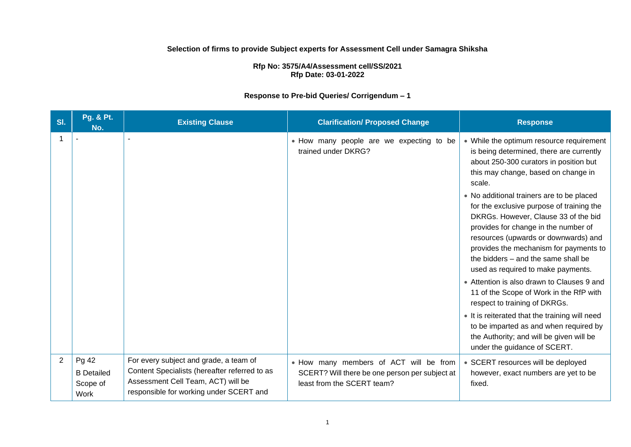### **Selection of firms to provide Subject experts for Assessment Cell under Samagra Shiksha**

**Rfp No: 3575/A4/Assessment cell/SS/2021 Rfp Date: 03-01-2022** 

### **Response to Pre-bid Queries/ Corrigendum – 1**

| SI. | Pg. & Pt.<br>No.                               | <b>Existing Clause</b>                                                                                                                                                   | <b>Clarification/ Proposed Change</b>                                                                                  | <b>Response</b>                                                                                                                                                                                                                                                                                                                       |
|-----|------------------------------------------------|--------------------------------------------------------------------------------------------------------------------------------------------------------------------------|------------------------------------------------------------------------------------------------------------------------|---------------------------------------------------------------------------------------------------------------------------------------------------------------------------------------------------------------------------------------------------------------------------------------------------------------------------------------|
|     |                                                |                                                                                                                                                                          | • How many people are we expecting to be<br>trained under DKRG?                                                        | • While the optimum resource requirement<br>is being determined, there are currently<br>about 250-300 curators in position but<br>this may change, based on change in<br>scale.                                                                                                                                                       |
|     |                                                |                                                                                                                                                                          |                                                                                                                        | • No additional trainers are to be placed<br>for the exclusive purpose of training the<br>DKRGs. However, Clause 33 of the bid<br>provides for change in the number of<br>resources (upwards or downwards) and<br>provides the mechanism for payments to<br>the bidders - and the same shall be<br>used as required to make payments. |
|     |                                                |                                                                                                                                                                          |                                                                                                                        | • Attention is also drawn to Clauses 9 and<br>11 of the Scope of Work in the RfP with<br>respect to training of DKRGs.                                                                                                                                                                                                                |
|     |                                                |                                                                                                                                                                          |                                                                                                                        | • It is reiterated that the training will need<br>to be imparted as and when required by<br>the Authority; and will be given will be<br>under the guidance of SCERT.                                                                                                                                                                  |
| 2   | Pg 42<br><b>B</b> Detailed<br>Scope of<br>Work | For every subject and grade, a team of<br>Content Specialists (hereafter referred to as<br>Assessment Cell Team, ACT) will be<br>responsible for working under SCERT and | . How many members of ACT will be from<br>SCERT? Will there be one person per subject at<br>least from the SCERT team? | • SCERT resources will be deployed<br>however, exact numbers are yet to be<br>fixed.                                                                                                                                                                                                                                                  |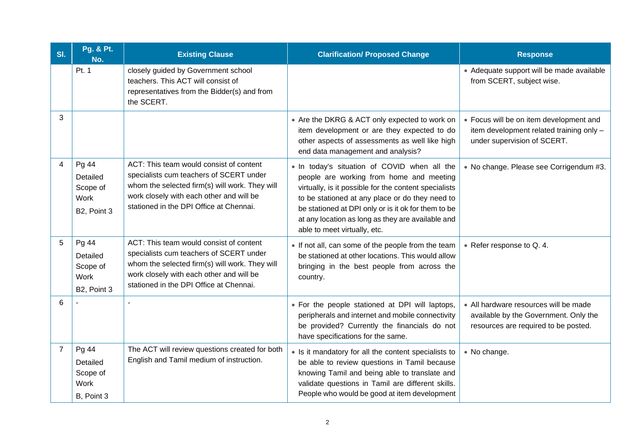| SI.            | <b>Pg. &amp; Pt.</b><br>No.                          | <b>Existing Clause</b>                                                                                                                                                                                                      | <b>Clarification/ Proposed Change</b>                                                                                                                                                                                                                                                                                                            | <b>Response</b>                                                                                                        |  |
|----------------|------------------------------------------------------|-----------------------------------------------------------------------------------------------------------------------------------------------------------------------------------------------------------------------------|--------------------------------------------------------------------------------------------------------------------------------------------------------------------------------------------------------------------------------------------------------------------------------------------------------------------------------------------------|------------------------------------------------------------------------------------------------------------------------|--|
|                | Pt. 1                                                | closely guided by Government school<br>teachers. This ACT will consist of<br>representatives from the Bidder(s) and from<br>the SCERT.                                                                                      |                                                                                                                                                                                                                                                                                                                                                  | • Adequate support will be made available<br>from SCERT, subject wise.                                                 |  |
| 3              |                                                      |                                                                                                                                                                                                                             | • Are the DKRG & ACT only expected to work on<br>item development or are they expected to do<br>other aspects of assessments as well like high<br>end data management and analysis?                                                                                                                                                              | • Focus will be on item development and<br>item development related training only -<br>under supervision of SCERT.     |  |
| $\overline{4}$ | Pg 44<br>Detailed<br>Scope of<br>Work<br>B2, Point 3 | ACT: This team would consist of content<br>specialists cum teachers of SCERT under<br>whom the selected firm(s) will work. They will<br>work closely with each other and will be<br>stationed in the DPI Office at Chennai. | . In today's situation of COVID when all the<br>people are working from home and meeting<br>virtually, is it possible for the content specialists<br>to be stationed at any place or do they need to<br>be stationed at DPI only or is it ok for them to be<br>at any location as long as they are available and<br>able to meet virtually, etc. | • No change. Please see Corrigendum #3.                                                                                |  |
| 5              | Pg 44<br>Detailed<br>Scope of<br>Work<br>B2, Point 3 | ACT: This team would consist of content<br>specialists cum teachers of SCERT under<br>whom the selected firm(s) will work. They will<br>work closely with each other and will be<br>stationed in the DPI Office at Chennai. | • If not all, can some of the people from the team<br>be stationed at other locations. This would allow<br>bringing in the best people from across the<br>country.                                                                                                                                                                               | • Refer response to Q. 4.                                                                                              |  |
| 6              |                                                      |                                                                                                                                                                                                                             | • For the people stationed at DPI will laptops,<br>peripherals and internet and mobile connectivity<br>be provided? Currently the financials do not<br>have specifications for the same.                                                                                                                                                         | • All hardware resources will be made<br>available by the Government. Only the<br>resources are required to be posted. |  |
| $\overline{7}$ | Pg 44<br>Detailed<br>Scope of<br>Work<br>B, Point 3  | The ACT will review questions created for both<br>English and Tamil medium of instruction.                                                                                                                                  | • Is it mandatory for all the content specialists to<br>be able to review questions in Tamil because<br>knowing Tamil and being able to translate and<br>validate questions in Tamil are different skills.<br>People who would be good at item development                                                                                       | • No change.                                                                                                           |  |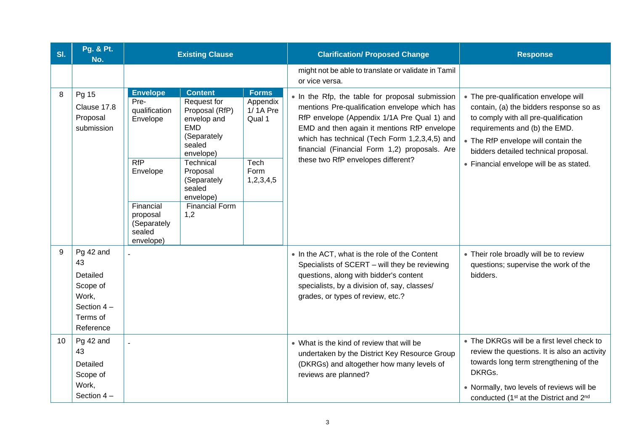| SI. | Pg. & Pt.<br>No.                                                                          | <b>Existing Clause</b>                                                                                                                                                                                                                                                                                                                                                                                             |                      | <b>Clarification/ Proposed Change</b>                                                                                                                                                                                                                                                                                                  | <b>Response</b>                                                                                                                                                                                                                                                                     |  |
|-----|-------------------------------------------------------------------------------------------|--------------------------------------------------------------------------------------------------------------------------------------------------------------------------------------------------------------------------------------------------------------------------------------------------------------------------------------------------------------------------------------------------------------------|----------------------|----------------------------------------------------------------------------------------------------------------------------------------------------------------------------------------------------------------------------------------------------------------------------------------------------------------------------------------|-------------------------------------------------------------------------------------------------------------------------------------------------------------------------------------------------------------------------------------------------------------------------------------|--|
|     |                                                                                           |                                                                                                                                                                                                                                                                                                                                                                                                                    |                      | might not be able to translate or validate in Tamil<br>or vice versa.                                                                                                                                                                                                                                                                  |                                                                                                                                                                                                                                                                                     |  |
| 8   | Pg 15<br>Clause 17.8<br>Proposal<br>submission                                            | <b>Content</b><br><b>Envelope</b><br><b>Forms</b><br>Pre-<br>Request for<br>qualification<br>Proposal (RfP)<br>Envelope<br>envelop and<br>Qual 1<br><b>EMD</b><br>(Separately<br>sealed<br>envelope)<br>RfP<br>Technical<br>Tech<br>Proposal<br>Form<br>Envelope<br>(Separately<br>1,2,3,4,5<br>sealed<br>envelope)<br>Financial<br><b>Financial Form</b><br>1,2<br>proposal<br>(Separately<br>sealed<br>envelope) | Appendix<br>1/1A Pre | • In the Rfp, the table for proposal submission<br>mentions Pre-qualification envelope which has<br>RfP envelope (Appendix 1/1A Pre Qual 1) and<br>EMD and then again it mentions RfP envelope<br>which has technical (Tech Form 1,2,3,4,5) and<br>financial (Financial Form 1,2) proposals. Are<br>these two RfP envelopes different? | • The pre-qualification envelope will<br>contain, (a) the bidders response so as<br>to comply with all pre-qualification<br>requirements and (b) the EMD.<br>• The RfP envelope will contain the<br>bidders detailed technical proposal.<br>• Financial envelope will be as stated. |  |
| 9   | Pg 42 and<br>43<br>Detailed<br>Scope of<br>Work,<br>Section $4-$<br>Terms of<br>Reference |                                                                                                                                                                                                                                                                                                                                                                                                                    |                      | • In the ACT, what is the role of the Content<br>Specialists of SCERT - will they be reviewing<br>questions, along with bidder's content<br>specialists, by a division of, say, classes/<br>grades, or types of review, etc.?                                                                                                          | • Their role broadly will be to review<br>questions; supervise the work of the<br>bidders.                                                                                                                                                                                          |  |
| 10  | Pg 42 and<br>43<br>Detailed<br>Scope of<br>Work,<br>Section 4-                            | $\overline{a}$                                                                                                                                                                                                                                                                                                                                                                                                     |                      | • What is the kind of review that will be<br>undertaken by the District Key Resource Group<br>(DKRGs) and altogether how many levels of<br>reviews are planned?                                                                                                                                                                        | • The DKRGs will be a first level check to<br>review the questions. It is also an activity<br>towards long term strengthening of the<br>DKRGs.<br>• Normally, two levels of reviews will be<br>conducted (1 <sup>st</sup> at the District and 2 <sup>nd</sup>                       |  |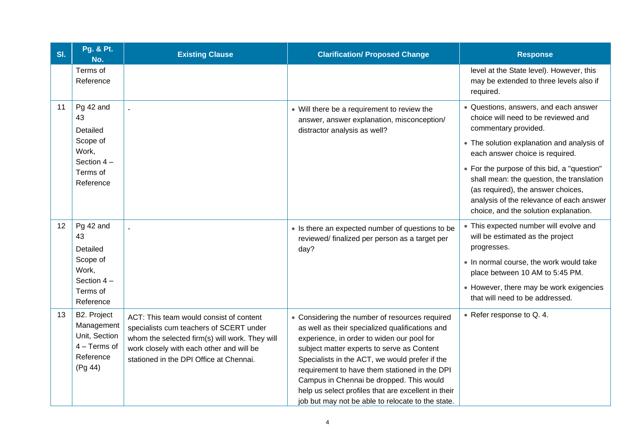| SI. | Pg. & Pt.<br>No.                                                                     | <b>Existing Clause</b>                                                                                                                                                                                                      | <b>Clarification/ Proposed Change</b>                                                                                                                                                                                                                                                                                                                                                                                                                    | <b>Response</b>                                                                                                                                                                                                     |
|-----|--------------------------------------------------------------------------------------|-----------------------------------------------------------------------------------------------------------------------------------------------------------------------------------------------------------------------------|----------------------------------------------------------------------------------------------------------------------------------------------------------------------------------------------------------------------------------------------------------------------------------------------------------------------------------------------------------------------------------------------------------------------------------------------------------|---------------------------------------------------------------------------------------------------------------------------------------------------------------------------------------------------------------------|
|     | Terms of<br>Reference                                                                |                                                                                                                                                                                                                             |                                                                                                                                                                                                                                                                                                                                                                                                                                                          | level at the State level). However, this<br>may be extended to three levels also if<br>required.                                                                                                                    |
| 11  | Pg 42 and<br>43<br>Detailed                                                          |                                                                                                                                                                                                                             | • Will there be a requirement to review the<br>answer, answer explanation, misconception/<br>distractor analysis as well?                                                                                                                                                                                                                                                                                                                                | · Questions, answers, and each answer<br>choice will need to be reviewed and<br>commentary provided.                                                                                                                |
|     | Scope of<br>Work,                                                                    |                                                                                                                                                                                                                             |                                                                                                                                                                                                                                                                                                                                                                                                                                                          | • The solution explanation and analysis of<br>each answer choice is required.                                                                                                                                       |
|     | Section $4-$<br>Terms of<br>Reference                                                |                                                                                                                                                                                                                             |                                                                                                                                                                                                                                                                                                                                                                                                                                                          | • For the purpose of this bid, a "question"<br>shall mean: the question, the translation<br>(as required), the answer choices,<br>analysis of the relevance of each answer<br>choice, and the solution explanation. |
| 12  | Pg 42 and<br>43<br>Detailed                                                          |                                                                                                                                                                                                                             | • Is there an expected number of questions to be<br>reviewed/finalized per person as a target per<br>day?                                                                                                                                                                                                                                                                                                                                                | • This expected number will evolve and<br>will be estimated as the project<br>progresses.                                                                                                                           |
|     | Scope of<br>Work,<br>Section $4-$                                                    |                                                                                                                                                                                                                             |                                                                                                                                                                                                                                                                                                                                                                                                                                                          | . In normal course, the work would take<br>place between 10 AM to 5:45 PM.                                                                                                                                          |
|     | Terms of<br>Reference                                                                |                                                                                                                                                                                                                             |                                                                                                                                                                                                                                                                                                                                                                                                                                                          | • However, there may be work exigencies<br>that will need to be addressed.                                                                                                                                          |
| 13  | B2. Project<br>Management<br>Unit, Section<br>$4 - Terms of$<br>Reference<br>(Pg 44) | ACT: This team would consist of content<br>specialists cum teachers of SCERT under<br>whom the selected firm(s) will work. They will<br>work closely with each other and will be<br>stationed in the DPI Office at Chennai. | • Considering the number of resources required<br>as well as their specialized qualifications and<br>experience, in order to widen our pool for<br>subject matter experts to serve as Content<br>Specialists in the ACT, we would prefer if the<br>requirement to have them stationed in the DPI<br>Campus in Chennai be dropped. This would<br>help us select profiles that are excellent in their<br>job but may not be able to relocate to the state. | • Refer response to Q. 4.                                                                                                                                                                                           |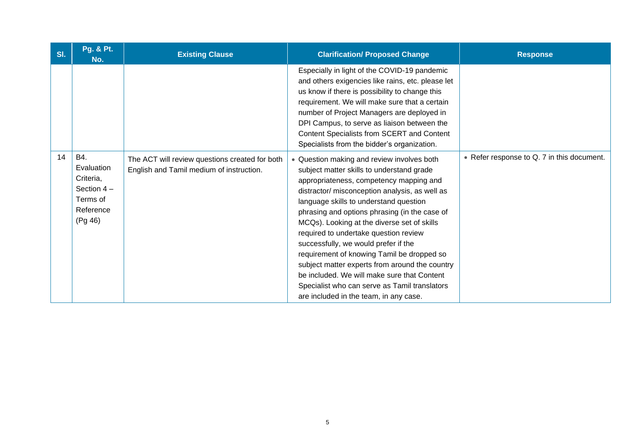| SI. | Pg. & Pt.<br>No.                                                                   | <b>Existing Clause</b>                                                                     | <b>Clarification/ Proposed Change</b>                                                                                                                                                                                                                                                                                                                                                                                                                                                                                                                                                                                                                     | <b>Response</b>                            |
|-----|------------------------------------------------------------------------------------|--------------------------------------------------------------------------------------------|-----------------------------------------------------------------------------------------------------------------------------------------------------------------------------------------------------------------------------------------------------------------------------------------------------------------------------------------------------------------------------------------------------------------------------------------------------------------------------------------------------------------------------------------------------------------------------------------------------------------------------------------------------------|--------------------------------------------|
|     |                                                                                    |                                                                                            | Especially in light of the COVID-19 pandemic<br>and others exigencies like rains, etc. please let<br>us know if there is possibility to change this<br>requirement. We will make sure that a certain<br>number of Project Managers are deployed in<br>DPI Campus, to serve as liaison between the<br>Content Specialists from SCERT and Content<br>Specialists from the bidder's organization.                                                                                                                                                                                                                                                            |                                            |
| 14  | B4.<br>Evaluation<br>Criteria,<br>Section $4-$<br>Terms of<br>Reference<br>(Pg 46) | The ACT will review questions created for both<br>English and Tamil medium of instruction. | • Question making and review involves both<br>subject matter skills to understand grade<br>appropriateness, competency mapping and<br>distractor/ misconception analysis, as well as<br>language skills to understand question<br>phrasing and options phrasing (in the case of<br>MCQs). Looking at the diverse set of skills<br>required to undertake question review<br>successfully, we would prefer if the<br>requirement of knowing Tamil be dropped so<br>subject matter experts from around the country<br>be included. We will make sure that Content<br>Specialist who can serve as Tamil translators<br>are included in the team, in any case. | • Refer response to Q. 7 in this document. |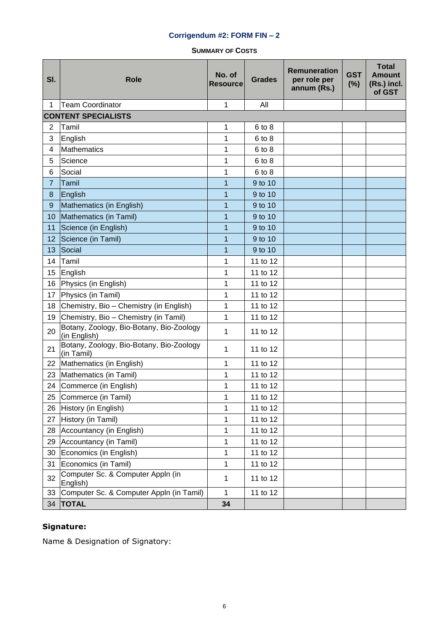### **Corrigendum #2: FORM FIN – 2**

**SUMMARY OF COSTS**

| SI.            | <b>Role</b><br><b>Resource</b>                           |                | <b>Grades</b> | <b>Remuneration</b><br>per role per<br>annum (Rs.) | <b>GST</b><br>(%) | <b>Total</b><br><b>Amount</b><br>(Rs.) incl.<br>of GST |
|----------------|----------------------------------------------------------|----------------|---------------|----------------------------------------------------|-------------------|--------------------------------------------------------|
| 1              | <b>Team Coordinator</b>                                  | 1              | All           |                                                    |                   |                                                        |
|                | <b>CONTENT SPECIALISTS</b>                               |                |               |                                                    |                   |                                                        |
| $\overline{2}$ | Tamil                                                    | 1              | 6 to 8        |                                                    |                   |                                                        |
| 3              | English                                                  | 1              | 6 to 8        |                                                    |                   |                                                        |
| 4              | <b>Mathematics</b>                                       | 1              | 6 to 8        |                                                    |                   |                                                        |
| 5              | Science                                                  | 1              | 6 to 8        |                                                    |                   |                                                        |
| 6              | Social                                                   | 1              | 6 to 8        |                                                    |                   |                                                        |
| $\overline{7}$ | Tamil                                                    | 1              | 9 to 10       |                                                    |                   |                                                        |
| 8              | English                                                  | 1              | 9 to 10       |                                                    |                   |                                                        |
| $9\,$          | Mathematics (in English)                                 | 1              | 9 to 10       |                                                    |                   |                                                        |
| 10             | Mathematics (in Tamil)                                   | 1              | 9 to 10       |                                                    |                   |                                                        |
| 11             | Science (in English)                                     | 1              | 9 to 10       |                                                    |                   |                                                        |
| 12             | Science (in Tamil)                                       | 1              | 9 to 10       |                                                    |                   |                                                        |
| 13             | Social                                                   | $\overline{1}$ | 9 to 10       |                                                    |                   |                                                        |
| 14             | Tamil                                                    | $\mathbf{1}$   | 11 to 12      |                                                    |                   |                                                        |
| 15             | English                                                  | 1              | 11 to 12      |                                                    |                   |                                                        |
| 16             | Physics (in English)                                     | $\mathbf{1}$   | 11 to 12      |                                                    |                   |                                                        |
| 17             | Physics (in Tamil)                                       | 1              | 11 to 12      |                                                    |                   |                                                        |
| 18             | Chemistry, Bio - Chemistry (in English)                  | $\mathbf{1}$   | 11 to 12      |                                                    |                   |                                                        |
| 19             | Chemistry, Bio - Chemistry (in Tamil)                    | 1              | 11 to 12      |                                                    |                   |                                                        |
| 20             | Botany, Zoology, Bio-Botany, Bio-Zoology<br>(in English) | 1              | 11 to 12      |                                                    |                   |                                                        |
| 21             | Botany, Zoology, Bio-Botany, Bio-Zoology<br>(in Tamil)   | 1              | 11 to 12      |                                                    |                   |                                                        |
| 22             | Mathematics (in English)                                 | $\mathbf{1}$   | 11 to 12      |                                                    |                   |                                                        |
| 23             | Mathematics (in Tamil)                                   | 1              | 11 to 12      |                                                    |                   |                                                        |
| 24             | Commerce (in English)                                    | 1              | 11 to 12      |                                                    |                   |                                                        |
| 25             | Commerce (in Tamil)                                      | 1              | 11 to 12      |                                                    |                   |                                                        |
| 26             | History (in English)                                     | 1              | 11 to 12      |                                                    |                   |                                                        |
| 27             | History (in Tamil)                                       | 1              | 11 to 12      |                                                    |                   |                                                        |
| 28             | Accountancy (in English)                                 | 1              | 11 to 12      |                                                    |                   |                                                        |
| 29             | Accountancy (in Tamil)                                   | 1              | 11 to 12      |                                                    |                   |                                                        |
| 30             | Economics (in English)                                   | $\mathbf{1}$   | 11 to 12      |                                                    |                   |                                                        |
| 31             | Economics (in Tamil)                                     | $\mathbf{1}$   | 11 to 12      |                                                    |                   |                                                        |
| 32             | Computer Sc. & Computer Appln (in<br>English)            | 1              | 11 to 12      |                                                    |                   |                                                        |
| 33             | Computer Sc. & Computer Appln (in Tamil)                 | $\mathbf{1}$   | 11 to 12      |                                                    |                   |                                                        |
|                | 34   TOTAL                                               | 34             |               |                                                    |                   |                                                        |

# **Signature:**

Name & Designation of Signatory: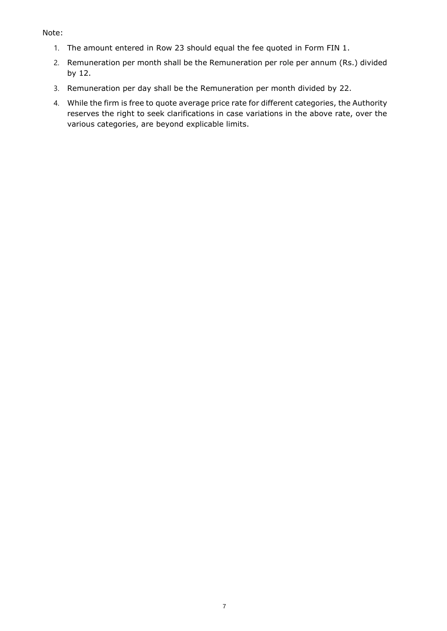#### Note:

- 1. The amount entered in Row 23 should equal the fee quoted in Form FIN 1.
- 2. Remuneration per month shall be the Remuneration per role per annum (Rs.) divided by 12.
- 3. Remuneration per day shall be the Remuneration per month divided by 22.
- 4. While the firm is free to quote average price rate for different categories, the Authority reserves the right to seek clarifications in case variations in the above rate, over the various categories, are beyond explicable limits.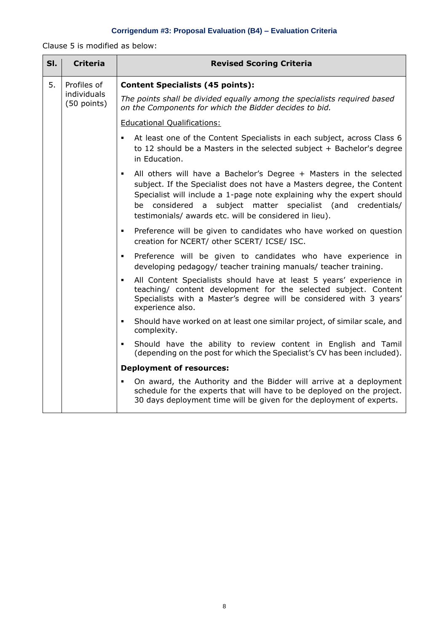# **Corrigendum #3: Proposal Evaluation (B4) – Evaluation Criteria**

Clause 5 is modified as below:

| SI.                             | <b>Criteria</b>                           | <b>Revised Scoring Criteria</b>                                                                                                                                                                                                                                                                                                                                           |  |  |
|---------------------------------|-------------------------------------------|---------------------------------------------------------------------------------------------------------------------------------------------------------------------------------------------------------------------------------------------------------------------------------------------------------------------------------------------------------------------------|--|--|
| 5.                              | Profiles of<br>individuals<br>(50 points) | <b>Content Specialists (45 points):</b>                                                                                                                                                                                                                                                                                                                                   |  |  |
|                                 |                                           | The points shall be divided equally among the specialists required based<br>on the Components for which the Bidder decides to bid.                                                                                                                                                                                                                                        |  |  |
|                                 |                                           | <b>Educational Qualifications:</b>                                                                                                                                                                                                                                                                                                                                        |  |  |
|                                 |                                           | At least one of the Content Specialists in each subject, across Class 6<br>$\blacksquare$<br>to 12 should be a Masters in the selected subject $+$ Bachelor's degree<br>in Education.                                                                                                                                                                                     |  |  |
|                                 |                                           | All others will have a Bachelor's Degree + Masters in the selected<br>$\blacksquare$<br>subject. If the Specialist does not have a Masters degree, the Content<br>Specialist will include a 1-page note explaining why the expert should<br>subject matter specialist (and credentials/<br>be considered<br>a a<br>testimonials/ awards etc. will be considered in lieu). |  |  |
|                                 |                                           | Preference will be given to candidates who have worked on question<br>$\blacksquare$<br>creation for NCERT/ other SCERT/ ICSE/ ISC.                                                                                                                                                                                                                                       |  |  |
|                                 |                                           | Preference will be given to candidates who have experience in<br>٠<br>developing pedagogy/ teacher training manuals/ teacher training.                                                                                                                                                                                                                                    |  |  |
|                                 |                                           | All Content Specialists should have at least 5 years' experience in<br>٠<br>teaching/ content development for the selected subject. Content<br>Specialists with a Master's degree will be considered with 3 years'<br>experience also.                                                                                                                                    |  |  |
|                                 |                                           | Should have worked on at least one similar project, of similar scale, and<br>$\blacksquare$<br>complexity.                                                                                                                                                                                                                                                                |  |  |
|                                 |                                           | Should have the ability to review content in English and Tamil<br>$\blacksquare$<br>(depending on the post for which the Specialist's CV has been included).                                                                                                                                                                                                              |  |  |
| <b>Deployment of resources:</b> |                                           |                                                                                                                                                                                                                                                                                                                                                                           |  |  |
|                                 |                                           | On award, the Authority and the Bidder will arrive at a deployment<br>٠<br>schedule for the experts that will have to be deployed on the project.<br>30 days deployment time will be given for the deployment of experts.                                                                                                                                                 |  |  |